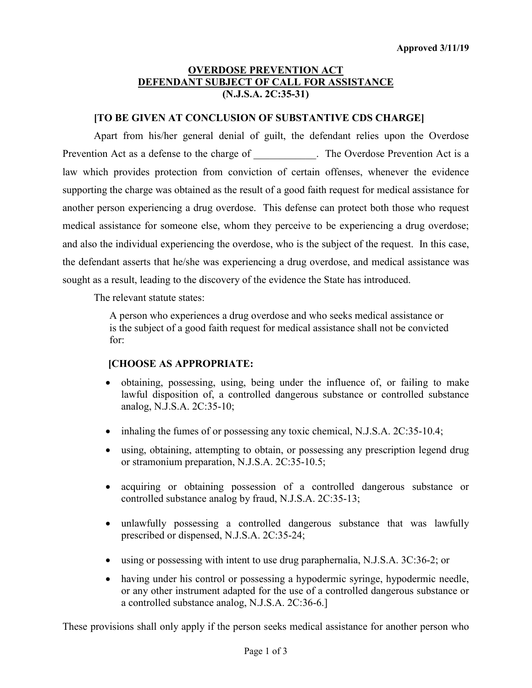# **OVERDOSE PREVENTION ACT DEFENDANT SUBJECT OF CALL FOR ASSISTANCE (N.J.S.A. 2C:35-31)**

## **[TO BE GIVEN AT CONCLUSION OF SUBSTANTIVE CDS CHARGE]**

Apart from his/her general denial of guilt, the defendant relies upon the Overdose Prevention Act as a defense to the charge of The Overdose Prevention Act is a law which provides protection from conviction of certain offenses, whenever the evidence supporting the charge was obtained as the result of a good faith request for medical assistance for another person experiencing a drug overdose. This defense can protect both those who request medical assistance for someone else, whom they perceive to be experiencing a drug overdose; and also the individual experiencing the overdose, who is the subject of the request. In this case, the defendant asserts that he/she was experiencing a drug overdose, and medical assistance was sought as a result, leading to the discovery of the evidence the State has introduced.

The relevant statute states:

A person who experiences a drug overdose and who seeks medical assistance or is the subject of a good faith request for medical assistance shall not be convicted for:

## **[CHOOSE AS APPROPRIATE:**

- obtaining, possessing, using, being under the influence of, or failing to make lawful disposition of, a controlled dangerous substance or controlled substance analog, N.J.S.A. 2C:35-10;
- inhaling the fumes of or possessing any toxic chemical, N.J.S.A. 2C:35-10.4;
- using, obtaining, attempting to obtain, or possessing any prescription legend drug or stramonium preparation, N.J.S.A. 2C:35-10.5;
- acquiring or obtaining possession of a controlled dangerous substance or controlled substance analog by fraud, N.J.S.A. 2C:35-13;
- unlawfully possessing a controlled dangerous substance that was lawfully prescribed or dispensed, N.J.S.A. 2C:35-24;
- using or possessing with intent to use drug paraphernalia, N.J.S.A. 3C:36-2; or
- having under his control or possessing a hypodermic syringe, hypodermic needle, or any other instrument adapted for the use of a controlled dangerous substance or a controlled substance analog, N.J.S.A. 2C:36-6.]

These provisions shall only apply if the person seeks medical assistance for another person who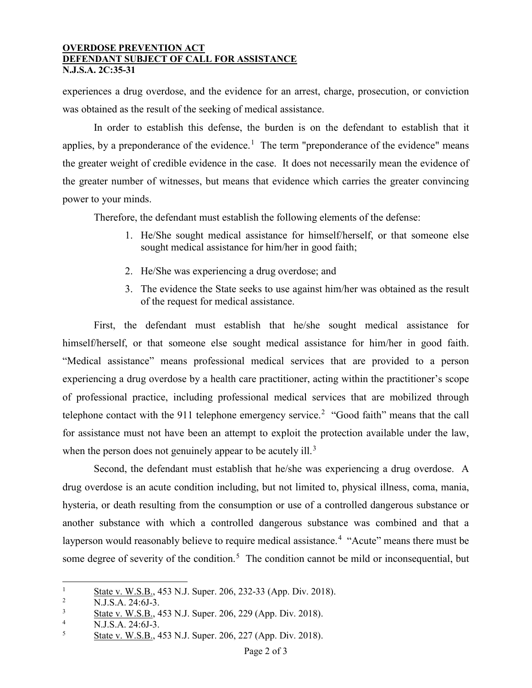## **OVERDOSE PREVENTION ACT DEFENDANT SUBJECT OF CALL FOR ASSISTANCE N.J.S.A. 2C:35-31**

experiences a drug overdose, and the evidence for an arrest, charge, prosecution, or conviction was obtained as the result of the seeking of medical assistance.

In order to establish this defense, the burden is on the defendant to establish that it applies, by a preponderance of the evidence.<sup>[1](#page-1-0)</sup> The term "preponderance of the evidence" means the greater weight of credible evidence in the case. It does not necessarily mean the evidence of the greater number of witnesses, but means that evidence which carries the greater convincing power to your minds.

Therefore, the defendant must establish the following elements of the defense:

- 1. He/She sought medical assistance for himself/herself, or that someone else sought medical assistance for him/her in good faith;
- 2. He/She was experiencing a drug overdose; and
- 3. The evidence the State seeks to use against him/her was obtained as the result of the request for medical assistance.

First, the defendant must establish that he/she sought medical assistance for himself/herself, or that someone else sought medical assistance for him/her in good faith. "Medical assistance" means professional medical services that are provided to a person experiencing a drug overdose by a health care practitioner, acting within the practitioner's scope of professional practice, including professional medical services that are mobilized through telephone contact with the 911 telephone emergency service.<sup>[2](#page-1-1)</sup> "Good faith" means that the call for assistance must not have been an attempt to exploit the protection available under the law, when the person does not genuinely appear to be acutely ill.<sup>[3](#page-1-2)</sup>

Second, the defendant must establish that he/she was experiencing a drug overdose. A drug overdose is an acute condition including, but not limited to, physical illness, coma, mania, hysteria, or death resulting from the consumption or use of a controlled dangerous substance or another substance with which a controlled dangerous substance was combined and that a layperson would reasonably believe to require medical assistance.<sup>[4](#page-1-3)</sup> "Acute" means there must be some degree of severity of the condition.<sup>[5](#page-1-4)</sup> The condition cannot be mild or inconsequential, but

<span id="page-1-0"></span> $\overline{a}$  $\frac{1}{2}$  State v. W.S.B., 453 N.J. Super. 206, 232-33 (App. Div. 2018).

<span id="page-1-1"></span><sup>&</sup>lt;sup>2</sup> N.J.S.A. 24:6J-3.

<span id="page-1-2"></span> $\frac{3}{4}$  State v. W.S.B., 453 N.J. Super. 206, 229 (App. Div. 2018).

<span id="page-1-4"></span><span id="page-1-3"></span><sup>&</sup>lt;sup>4</sup> N.J.S.A. 24:6J-3.

<sup>5</sup> State v. W.S.B., 453 N.J. Super. 206, 227 (App. Div. 2018).